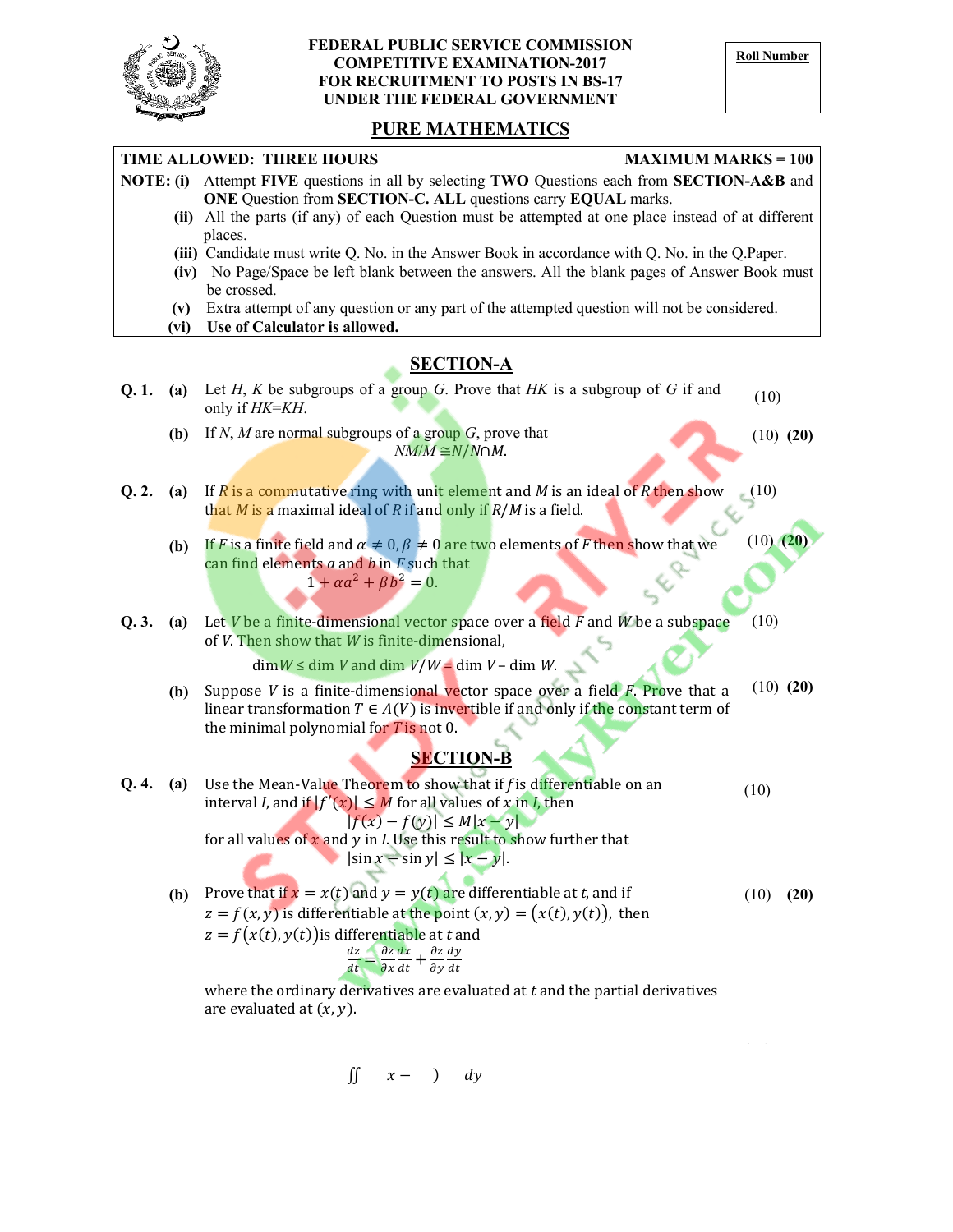

## FEDERAL PUBLIC SERVICE COMMISSION<br>
COMPETITIVE EXAMINATION 2017 COMPETITIVE EXAMINATION-2017 FOR RECRUITMENT TO POSTS IN BS-17 UNDER THE FEDERAL GOVERNMENT

## PURE MATHEMATICS

| TIME ALLOWED: THREE HOURS<br><b>MAXIMUM MARKS = 100</b> |                                                                                                  |                                                                                                                                                                                                                                                                                                                                                                                                                                                 |               |  |
|---------------------------------------------------------|--------------------------------------------------------------------------------------------------|-------------------------------------------------------------------------------------------------------------------------------------------------------------------------------------------------------------------------------------------------------------------------------------------------------------------------------------------------------------------------------------------------------------------------------------------------|---------------|--|
| NOTE: (i)                                               |                                                                                                  | Attempt FIVE questions in all by selecting TWO Questions each from SECTION-A&B and                                                                                                                                                                                                                                                                                                                                                              |               |  |
|                                                         |                                                                                                  | ONE Question from SECTION-C. ALL questions carry EQUAL marks.                                                                                                                                                                                                                                                                                                                                                                                   |               |  |
|                                                         |                                                                                                  | (ii) All the parts (if any) of each Question must be attempted at one place instead of at different<br>places.                                                                                                                                                                                                                                                                                                                                  |               |  |
|                                                         | (iii) Candidate must write Q. No. in the Answer Book in accordance with Q. No. in the Q. Paper.  |                                                                                                                                                                                                                                                                                                                                                                                                                                                 |               |  |
|                                                         | No Page/Space be left blank between the answers. All the blank pages of Answer Book must<br>(iv) |                                                                                                                                                                                                                                                                                                                                                                                                                                                 |               |  |
|                                                         | be crossed.                                                                                      |                                                                                                                                                                                                                                                                                                                                                                                                                                                 |               |  |
|                                                         | (v)<br>(vi)                                                                                      | Extra attempt of any question or any part of the attempted question will not be considered.<br>Use of Calculator is allowed.                                                                                                                                                                                                                                                                                                                    |               |  |
| <b>SECTION-A</b>                                        |                                                                                                  |                                                                                                                                                                                                                                                                                                                                                                                                                                                 |               |  |
| Q.1.                                                    | (a)                                                                                              | Let H, K be subgroups of a group G. Prove that HK is a subgroup of G if and<br>only if HK=KH.                                                                                                                                                                                                                                                                                                                                                   | (10)          |  |
|                                                         | (b)                                                                                              | If N, M are normal subgroups of a group $G$ , prove that<br>$NM/M \cong N/N \cap M$ .                                                                                                                                                                                                                                                                                                                                                           | $(10)$ $(20)$ |  |
| Q. 2.                                                   | (a)                                                                                              | If $R$ is a commutative ring with unit element and $M$ is an ideal of $R$ then show<br>(10)<br>that <i>M</i> is a maximal ideal of <i>R</i> if and only if $R/M$ is a field.                                                                                                                                                                                                                                                                    |               |  |
|                                                         | (b)                                                                                              | If <i>F</i> is a finite field and $\alpha \neq 0, \beta \neq 0$ are two elements of <i>F</i> then show that we<br>can find elements $a$ and $b$ in $F$ such that<br>$1 + \alpha a^2 + \beta b^2 = 0.$                                                                                                                                                                                                                                           | $(10)$ $(20)$ |  |
| Q.3.                                                    | (a)                                                                                              | (10)<br>Let $V$ be a finite-dimensional vector space over a field $F$ and $W$ be a subspace<br>of $V$ . Then show that $W$ is finite-dimensional,                                                                                                                                                                                                                                                                                               |               |  |
|                                                         |                                                                                                  | $\dim W \leq \dim V$ and $\dim V/W = \dim V - \dim W$ .                                                                                                                                                                                                                                                                                                                                                                                         |               |  |
|                                                         | (b)                                                                                              | Suppose $V$ is a finite-dimensional vector space over a field $F$ . Prove that a<br>linear transformation $T \in A(V)$ is invertible if and only if the constant term of<br>the minimal polynomial for $T$ is not 0.                                                                                                                                                                                                                            | $(10)$ $(20)$ |  |
| <b>SECTION-B</b>                                        |                                                                                                  |                                                                                                                                                                                                                                                                                                                                                                                                                                                 |               |  |
| Q. 4.                                                   | (a)                                                                                              | Use the Mean-Value Theorem to show that if $f$ is differentiable on an<br>(10)<br>interval <i>I</i> , and if $ f'(x)  \leq M$ for all values of x in <i>I</i> , then<br>$ f(x) - f(y)  \le M x - y $<br>for all values of x and y in <i>I</i> . Use this result to show further that<br>$ \sin x - \sin y  \le  x - y $ .                                                                                                                       |               |  |
|                                                         | (b)                                                                                              | Prove that if $x = x(t)$ and $y = y(t)$ are differentiable at t, and if<br>(10)<br>$z = f(x, y)$ is differentiable at the point $(x, y) = (x(t), y(t))$ , then<br>$z = f(x(t), y(t))$ is differentiable at t and<br>$\frac{dz}{dt} = \frac{\partial z}{\partial x}\frac{dx}{dt} + \frac{\partial z}{\partial y}\frac{dy}{dt}$<br>where the ordinary derivatives are evaluated at $t$ and the partial derivatives<br>are evaluated at $(x, y)$ . | (20)          |  |
|                                                         |                                                                                                  |                                                                                                                                                                                                                                                                                                                                                                                                                                                 |               |  |

$$
\iint x - \quad) \quad dy
$$